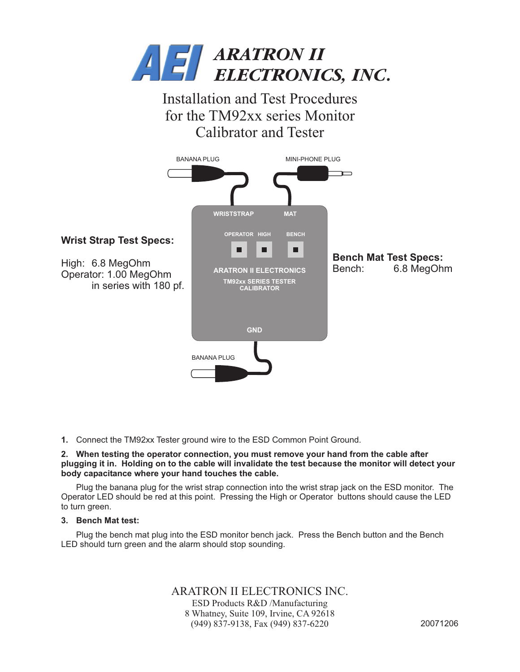

Installation and Test Procedures for the TM92xx series Monitor Calibrator and Tester



**1.** Connect the TM92xx Tester ground wire to the ESD Common Point Ground.

## **2. When testing the operator connection, you must remove your hand from the cable after plugging it in. Holding on to the cable will invalidate the test because the monitor will detect your body capacitance where your hand touches the cable.**

Plug the banana plug for the wrist strap connection into the wrist strap jack on the ESD monitor. The Operator LED should be red at this point. Pressing the High or Operator buttons should cause the LED to turn green.

## **3. Bench Mat test:**

Plug the bench mat plug into the ESD monitor bench jack. Press the Bench button and the Bench LED should turn green and the alarm should stop sounding.

ARATRON II ELECTRONICS INC.

ESD Products R&D /Manufacturing 8 Whatney, Suite 109, Irvine, CA 92618 (949) 837-9138, Fax (949) 837-6220 20071206